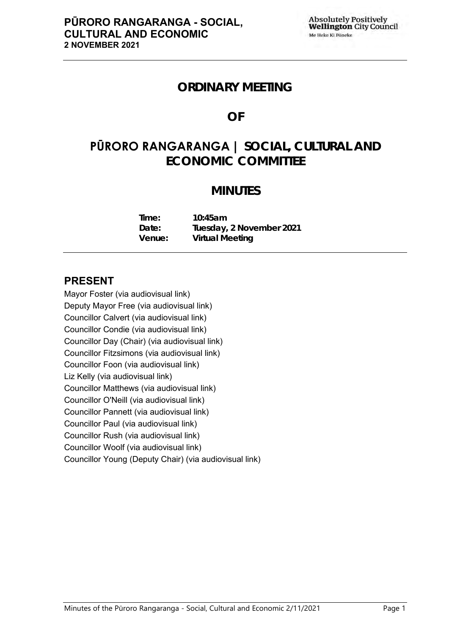## **ORDINARY MEETING**

# **OF**

# **PŪRORO RANGARANGA | SOCIAL, CULTURAL AND ECONOMIC COMMITTEE**

# **MINUTES**

| Time:  | 10:45am                  |
|--------|--------------------------|
| Date:  | Tuesday, 2 November 2021 |
| Venue: | Virtual Meeting          |

## **PRESENT**

Mayor Foster (via audiovisual link) Deputy Mayor Free (via audiovisual link) Councillor Calvert (via audiovisual link) Councillor Condie (via audiovisual link) Councillor Day (Chair) (via audiovisual link) Councillor Fitzsimons (via audiovisual link) Councillor Foon (via audiovisual link) Liz Kelly (via audiovisual link) Councillor Matthews (via audiovisual link) Councillor O'Neill (via audiovisual link) Councillor Pannett (via audiovisual link) Councillor Paul (via audiovisual link) Councillor Rush (via audiovisual link) Councillor Woolf (via audiovisual link) Councillor Young (Deputy Chair) (via audiovisual link)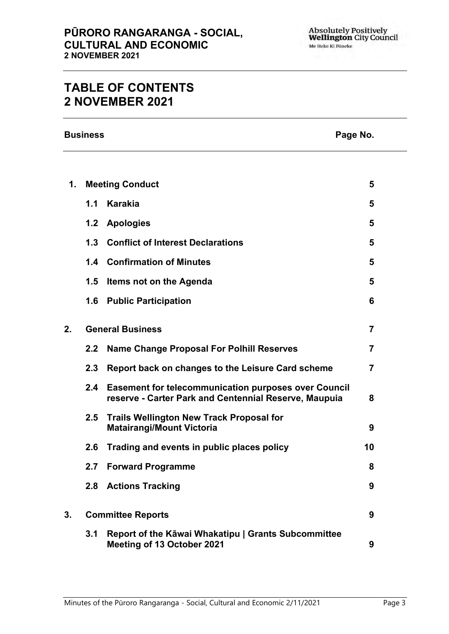# **TABLE OF CONTENTS 2 NOVEMBER 2021**

**Business Page No.**

| 1. | <b>Meeting Conduct</b>   |                                                                                                                      | 5              |
|----|--------------------------|----------------------------------------------------------------------------------------------------------------------|----------------|
|    | 1.1                      | Karakia                                                                                                              | 5              |
|    | 1.2                      | <b>Apologies</b>                                                                                                     | 5              |
|    | 1.3                      | <b>Conflict of Interest Declarations</b>                                                                             | 5              |
|    |                          | 1.4 Confirmation of Minutes                                                                                          | 5              |
|    | 1.5                      | Items not on the Agenda                                                                                              | 5              |
|    | 1.6                      | <b>Public Participation</b>                                                                                          | 6              |
| 2. | <b>General Business</b>  |                                                                                                                      | $\overline{7}$ |
|    | 2.2                      | <b>Name Change Proposal For Polhill Reserves</b>                                                                     | $\overline{7}$ |
|    | 2.3                      | Report back on changes to the Leisure Card scheme                                                                    | $\overline{7}$ |
|    | 2.4                      | <b>Easement for telecommunication purposes over Council</b><br>reserve - Carter Park and Centennial Reserve, Maupuia | 8              |
|    | 2.5                      | <b>Trails Wellington New Track Proposal for</b><br><b>Matairangi/Mount Victoria</b>                                  | 9              |
|    | 2.6                      | Trading and events in public places policy                                                                           | 10             |
|    | 2.7                      | <b>Forward Programme</b>                                                                                             | 8              |
|    | 2.8                      | <b>Actions Tracking</b>                                                                                              | 9              |
| 3. | <b>Committee Reports</b> |                                                                                                                      | 9              |
|    | 3.1                      | Report of the Kāwai Whakatipu   Grants Subcommittee<br>Meeting of 13 October 2021                                    | 9              |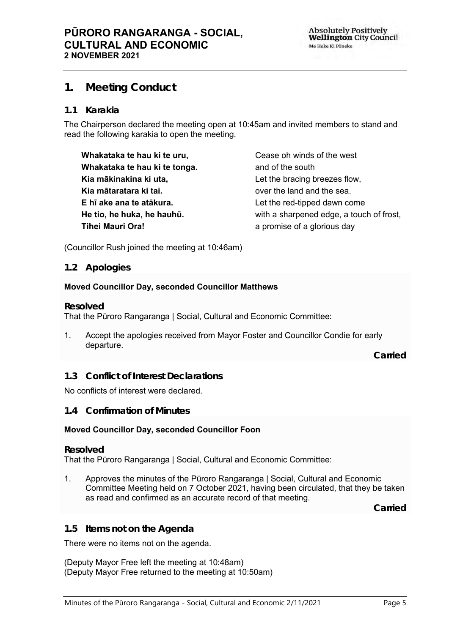## <span id="page-4-0"></span>**1. Meeting Conduct**

#### **1.1 Karakia**

The Chairperson declared the meeting open at 10:45am and invited members to stand and read the following karakia to open the meeting.

**Whakataka te hau ki te uru, Whakataka te hau ki te tonga. Kia mākinakina ki uta, Kia mātaratara ki tai. E hī ake ana te atākura. He tio, he huka, he hauhū. Tihei Mauri Ora!**

Cease oh winds of the west and of the south Let the bracing breezes flow, over the land and the sea. Let the red-tipped dawn come with a sharpened edge, a touch of frost, a promise of a glorious day

(Councillor Rush joined the meeting at 10:46am)

#### <span id="page-4-1"></span>**1.2 Apologies**

#### **Moved Councillor Day, seconded Councillor Matthews**

#### **Resolved**

That the Pūroro Rangaranga | Social, Cultural and Economic Committee:

1. Accept the apologies received from Mayor Foster and Councillor Condie for early departure.

**Carried**

<span id="page-4-2"></span>**1.3 Conflict of Interest Declarations**

#### No conflicts of interest were declared.

#### <span id="page-4-3"></span>**1.4 Confirmation of Minutes**

#### **Moved Councillor Day, seconded Councillor Foon**

#### **Resolved**

That the Pūroro Rangaranga | Social, Cultural and Economic Committee:

1. Approves the minutes of the Pūroro Rangaranga | Social, Cultural and Economic Committee Meeting held on 7 October 2021, having been circulated, that they be taken as read and confirmed as an accurate record of that meeting.

**Carried**

#### <span id="page-4-4"></span>**1.5 Items not on the Agenda**

There were no items not on the agenda.

(Deputy Mayor Free left the meeting at 10:48am) (Deputy Mayor Free returned to the meeting at 10:50am)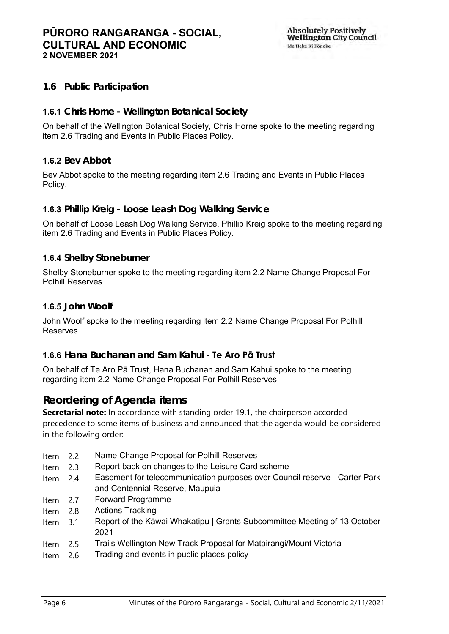**Absolutely Positively Wellington City Council** Me Heke Ki Pôneke

## <span id="page-5-0"></span>**1.6 Public Participation**

## **1.6.1 Chris Horne - Wellington Botanical Society**

On behalf of the Wellington Botanical Society, Chris Horne spoke to the meeting regarding item 2.6 Trading and Events in Public Places Policy.

### **1.6.2 Bev Abbot**

Bev Abbot spoke to the meeting regarding item 2.6 Trading and Events in Public Places Policy.

#### **1.6.3 Phillip Kreig - Loose Leash Dog Walking Service**

On behalf of Loose Leash Dog Walking Service, Phillip Kreig spoke to the meeting regarding item 2.6 Trading and Events in Public Places Policy.

### **1.6.4 Shelby Stoneburner**

Shelby Stoneburner spoke to the meeting regarding item 2.2 Name Change Proposal For Polhill Reserves.

#### **1.6.5 John Woolf**

John Woolf spoke to the meeting regarding item 2.2 Name Change Proposal For Polhill Reserves.

### **1.6.6 Hana Buchanan and Sam Kahui - Te Aro Pā Trust**

On behalf of Te Aro Pā Trust, Hana Buchanan and Sam Kahui spoke to the meeting regarding item 2.2 Name Change Proposal For Polhill Reserves.

## **Reordering of Agenda items**

**Secretarial note:** In accordance with standing order 19.1, the chairperson accorded precedence to some items of business and announced that the agenda would be considered in the following order:

- Item 2.2 Name Change Proposal for Polhill Reserves
- Item 2.3 Report back on changes to the Leisure Card scheme
- Item 2.4 Easement for telecommunication purposes over Council reserve Carter Park and Centennial Reserve, Maupuia
- Item 2.7 Forward Programme
- Item 2.8 Actions Tracking
- Item 3.1 Report of the Kāwai Whakatipu | Grants Subcommittee Meeting of 13 October 2021
- Item 2.5 Trails Wellington New Track Proposal for Matairangi/Mount Victoria
- Item 2.6 Trading and events in public places policy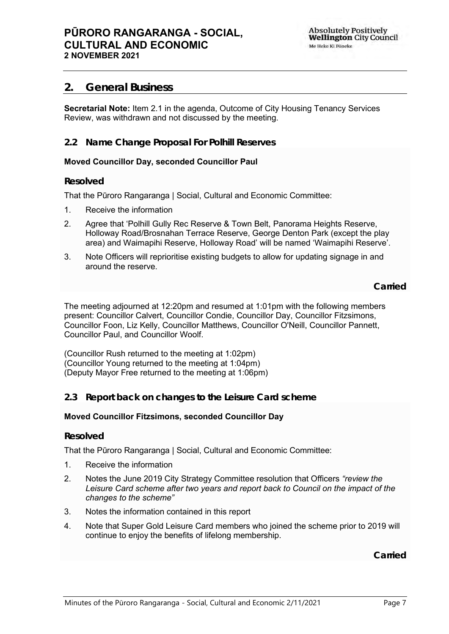## <span id="page-6-0"></span>**2. General Business**

**Secretarial Note:** Item 2.1 in the agenda, Outcome of City Housing Tenancy Services Review, was withdrawn and not discussed by the meeting.

## <span id="page-6-1"></span>**2.2 Name Change Proposal For Polhill Reserves**

#### **Moved Councillor Day, seconded Councillor Paul**

#### **Resolved**

That the Pūroro Rangaranga | Social, Cultural and Economic Committee:

- 1. Receive the information
- 2. Agree that 'Polhill Gully Rec Reserve & Town Belt, Panorama Heights Reserve, Holloway Road/Brosnahan Terrace Reserve, George Denton Park (except the play area) and Waimapihi Reserve, Holloway Road' will be named 'Waimapihi Reserve'.
- 3. Note Officers will reprioritise existing budgets to allow for updating signage in and around the reserve.

**Carried**

The meeting adjourned at 12:20pm and resumed at 1:01pm with the following members present: Councillor Calvert, Councillor Condie, Councillor Day, Councillor Fitzsimons, Councillor Foon, Liz Kelly, Councillor Matthews, Councillor O'Neill, Councillor Pannett, Councillor Paul, and Councillor Woolf.

(Councillor Rush returned to the meeting at 1:02pm) (Councillor Young returned to the meeting at 1:04pm) (Deputy Mayor Free returned to the meeting at 1:06pm)

#### <span id="page-6-2"></span>**2.3 Report back on changes to the Leisure Card scheme**

#### **Moved Councillor Fitzsimons, seconded Councillor Day**

#### **Resolved**

That the Pūroro Rangaranga | Social, Cultural and Economic Committee:

- 1. Receive the information
- 2. Notes the June 2019 City Strategy Committee resolution that Officers *"review the Leisure Card scheme after two years and report back to Council on the impact of the changes to the scheme"*
- 3. Notes the information contained in this report
- 4. Note that Super Gold Leisure Card members who joined the scheme prior to 2019 will continue to enjoy the benefits of lifelong membership.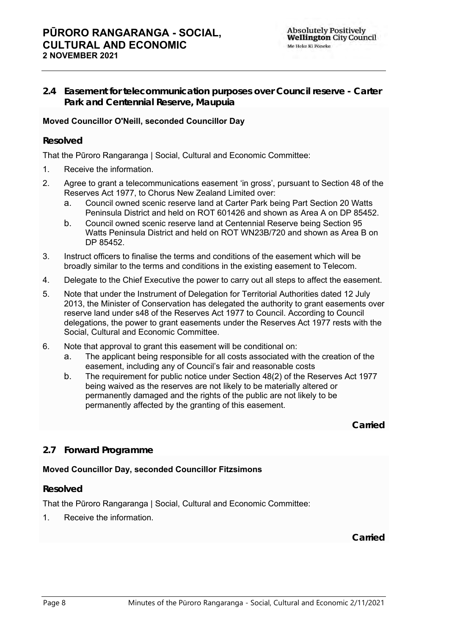## **PŪRORO RANGARANGA - SOCIAL, CULTURAL AND ECONOMIC 2 NOVEMBER 2021**

<span id="page-7-0"></span>**2.4 Easement for telecommunication purposes over Council reserve - Carter Park and Centennial Reserve, Maupuia**

## **Moved Councillor O'Neill, seconded Councillor Day**

### **Resolved**

That the Pūroro Rangaranga | Social, Cultural and Economic Committee:

- 1. Receive the information.
- 2. Agree to grant a telecommunications easement 'in gross', pursuant to Section 48 of the Reserves Act 1977, to Chorus New Zealand Limited over:
	- a. Council owned scenic reserve land at Carter Park being Part Section 20 Watts Peninsula District and held on ROT 601426 and shown as Area A on DP 85452.
	- b. Council owned scenic reserve land at Centennial Reserve being Section 95 Watts Peninsula District and held on ROT WN23B/720 and shown as Area B on DP 85452.
- 3. Instruct officers to finalise the terms and conditions of the easement which will be broadly similar to the terms and conditions in the existing easement to Telecom.
- 4. Delegate to the Chief Executive the power to carry out all steps to affect the easement.
- 5. Note that under the Instrument of Delegation for Territorial Authorities dated 12 July 2013, the Minister of Conservation has delegated the authority to grant easements over reserve land under s48 of the Reserves Act 1977 to Council. According to Council delegations, the power to grant easements under the Reserves Act 1977 rests with the Social, Cultural and Economic Committee.
- 6. Note that approval to grant this easement will be conditional on:
	- a. The applicant being responsible for all costs associated with the creation of the easement, including any of Council's fair and reasonable costs
	- b. The requirement for public notice under Section 48(2) of the Reserves Act 1977 being waived as the reserves are not likely to be materially altered or permanently damaged and the rights of the public are not likely to be permanently affected by the granting of this easement.

**Carried**

## <span id="page-7-1"></span>**2.7 Forward Programme**

### **Moved Councillor Day, seconded Councillor Fitzsimons**

#### **Resolved**

That the Pūroro Rangaranga | Social, Cultural and Economic Committee:

1. Receive the information.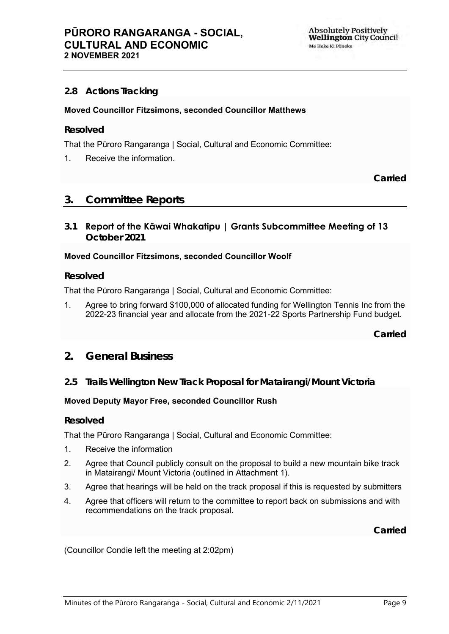## <span id="page-8-1"></span>**2.8 Actions Tracking**

#### **Moved Councillor Fitzsimons, seconded Councillor Matthews**

#### **Resolved**

That the Pūroro Rangaranga | Social, Cultural and Economic Committee:

1. Receive the information.

**Carried**

## <span id="page-8-2"></span>**3. Committee Reports**

<span id="page-8-3"></span>**3.1 Report of the Kāwai Whakatipu | Grants Subcommittee Meeting of 13 October 2021**

#### **Moved Councillor Fitzsimons, seconded Councillor Woolf**

#### **Resolved**

That the Pūroro Rangaranga | Social, Cultural and Economic Committee:

1. Agree to bring forward \$100,000 of allocated funding for Wellington Tennis Inc from the 2022-23 financial year and allocate from the 2021-22 Sports Partnership Fund budget.

**Carried**

- **2. General Business**
- <span id="page-8-0"></span>**2.5 Trails Wellington New Track Proposal for Matairangi/Mount Victoria**

#### **Moved Deputy Mayor Free, seconded Councillor Rush**

#### **Resolved**

That the Pūroro Rangaranga | Social, Cultural and Economic Committee:

- 1. Receive the information
- 2. Agree that Council publicly consult on the proposal to build a new mountain bike track in Matairangi/ Mount Victoria (outlined in Attachment 1).
- 3. Agree that hearings will be held on the track proposal if this is requested by submitters
- 4. Agree that officers will return to the committee to report back on submissions and with recommendations on the track proposal.

**Carried**

(Councillor Condie left the meeting at 2:02pm)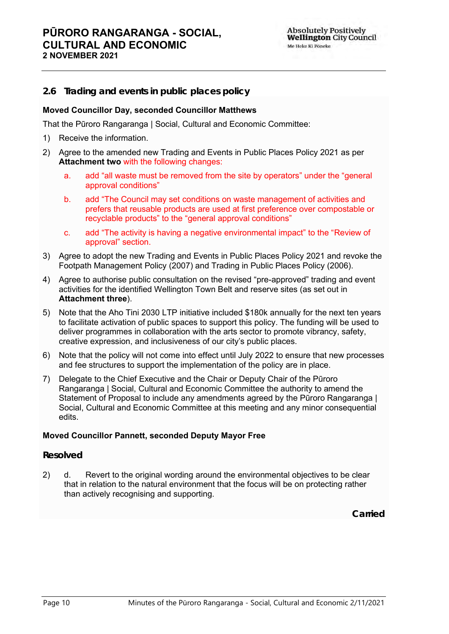### <span id="page-9-0"></span>**2.6 Trading and events in public places policy**

#### **Moved Councillor Day, seconded Councillor Matthews**

That the Pūroro Rangaranga | Social, Cultural and Economic Committee:

- 1) Receive the information.
- 2) Agree to the amended new Trading and Events in Public Places Policy 2021 as per **Attachment two** with the following changes:
	- a. add "all waste must be removed from the site by operators" under the "general approval conditions"
	- b. add "The Council may set conditions on waste management of activities and prefers that reusable products are used at first preference over compostable or recyclable products" to the "general approval conditions"
	- c. add "The activity is having a negative environmental impact" to the "Review of approval" section.
- 3) Agree to adopt the new Trading and Events in Public Places Policy 2021 and revoke the Footpath Management Policy (2007) and Trading in Public Places Policy (2006).
- 4) Agree to authorise public consultation on the revised "pre-approved" trading and event activities for the identified Wellington Town Belt and reserve sites (as set out in **Attachment three**).
- 5) Note that the Aho Tini 2030 LTP initiative included \$180k annually for the next ten years to facilitate activation of public spaces to support this policy. The funding will be used to deliver programmes in collaboration with the arts sector to promote vibrancy, safety, creative expression, and inclusiveness of our city's public places.
- 6) Note that the policy will not come into effect until July 2022 to ensure that new processes and fee structures to support the implementation of the policy are in place.
- 7) Delegate to the Chief Executive and the Chair or Deputy Chair of the Pūroro Rangaranga | Social, Cultural and Economic Committee the authority to amend the Statement of Proposal to include any amendments agreed by the Pūroro Rangaranga | Social, Cultural and Economic Committee at this meeting and any minor consequential edits.

#### **Moved Councillor Pannett, seconded Deputy Mayor Free**

#### **Resolved**

2) d. Revert to the original wording around the environmental objectives to be clear that in relation to the natural environment that the focus will be on protecting rather than actively recognising and supporting.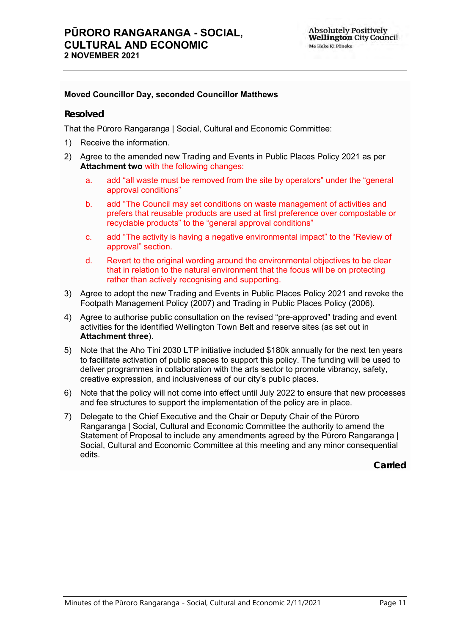#### **Moved Councillor Day, seconded Councillor Matthews**

#### **Resolved**

That the Pūroro Rangaranga | Social, Cultural and Economic Committee:

- 1) Receive the information.
- 2) Agree to the amended new Trading and Events in Public Places Policy 2021 as per **Attachment two** with the following changes:
	- a. add "all waste must be removed from the site by operators" under the "general approval conditions"
	- b. add "The Council may set conditions on waste management of activities and prefers that reusable products are used at first preference over compostable or recyclable products" to the "general approval conditions"
	- c. add "The activity is having a negative environmental impact" to the "Review of approval" section.
	- d. Revert to the original wording around the environmental objectives to be clear that in relation to the natural environment that the focus will be on protecting rather than actively recognising and supporting.
- 3) Agree to adopt the new Trading and Events in Public Places Policy 2021 and revoke the Footpath Management Policy (2007) and Trading in Public Places Policy (2006).
- 4) Agree to authorise public consultation on the revised "pre-approved" trading and event activities for the identified Wellington Town Belt and reserve sites (as set out in **Attachment three**).
- 5) Note that the Aho Tini 2030 LTP initiative included \$180k annually for the next ten years to facilitate activation of public spaces to support this policy. The funding will be used to deliver programmes in collaboration with the arts sector to promote vibrancy, safety, creative expression, and inclusiveness of our city's public places.
- 6) Note that the policy will not come into effect until July 2022 to ensure that new processes and fee structures to support the implementation of the policy are in place.
- 7) Delegate to the Chief Executive and the Chair or Deputy Chair of the Pūroro Rangaranga | Social, Cultural and Economic Committee the authority to amend the Statement of Proposal to include any amendments agreed by the Pūroro Rangaranga | Social, Cultural and Economic Committee at this meeting and any minor consequential edits.